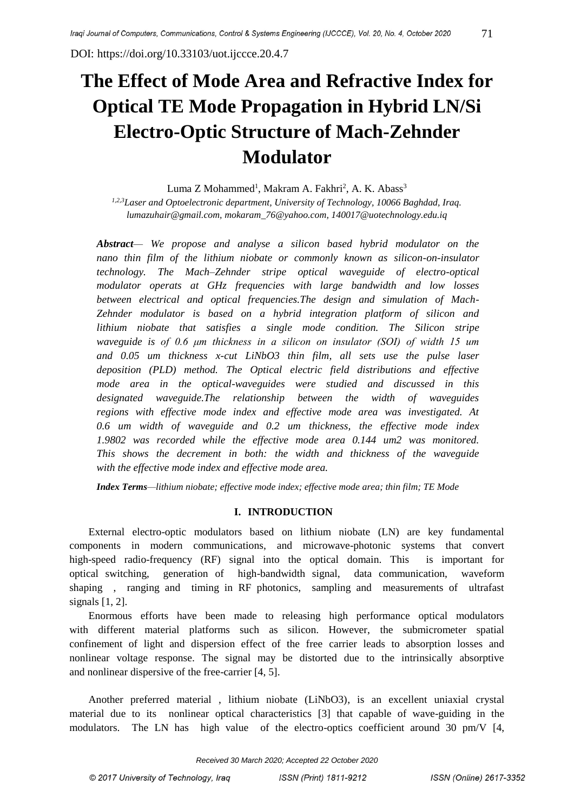DOI:<https://doi.org/10.33103/uot.ijccce.20.4.7>

# **The Effect of Mode Area and Refractive Index for Optical TE Mode Propagation in Hybrid LN/Si Electro-Optic Structure of Mach-Zehnder Modulator**

Luma Z Mohammed $^{\rm l}$ , Makram A. Fakhri $^{\rm 2}$ , A. K. Abass $^{\rm 3}$ 

*1,2,3Laser and Optoelectronic department, University of Technology, 10066 Baghdad, Iraq. lumazuhair@gmail.com, [mokaram\\_76@yahoo.com,](mailto:mokaram_76@yahoo.com) [140017@uotechnology.edu.iq](mailto:140017@uotechnology.edu.iq)*

*Abstract— We propose and analyse a silicon based hybrid modulator on the nano thin film of the lithium niobate or commonly known as silicon-on-insulator technology. The Mach–Zehnder stripe optical waveguide of electro-optical modulator operats at GHz frequencies with large bandwidth and low losses between electrical and optical frequencies.The design and simulation of Mach-Zehnder modulator is based on a hybrid integration platform of silicon and lithium niobate that satisfies a single mode condition. The Silicon stripe waveguide is of 0.6 μm thickness in a silicon on insulator (SOI) of width 15 um and 0.05 um thickness x-cut LiNbO3 thin film, all sets use the pulse laser deposition (PLD) method. The Optical electric field distributions and effective mode area in the optical-waveguides were studied and discussed in this designated waveguide.The relationship between the width of waveguides regions with effective mode index and effective mode area was investigated. At 0.6 um width of waveguide and 0.2 um thickness, the effective mode index 1.9802 was recorded while the effective mode area 0.144 um2 was monitored. This shows the decrement in both: the width and thickness of the waveguide with the effective mode index and effective mode area.*

*Index Terms—lithium niobate; effective mode index; effective mode area; thin film; TE Mode*

## **I. INTRODUCTION**

External electro-optic modulators based on lithium niobate (LN) are key fundamental components in modern communications, and microwave-photonic systems that convert high-speed radio-frequency (RF) signal into the optical domain. This is important for optical switching, generation of high-bandwidth signal, data communication, waveform shaping , ranging and timing in RF photonics, sampling and measurements of ultrafast signals [1, 2].

Enormous efforts have been made to releasing high performance optical modulators with different material platforms such as silicon. However, the submicrometer spatial confinement of light and dispersion effect of the free carrier leads to absorption losses and nonlinear voltage response. The signal may be distorted due to the intrinsically absorptive and nonlinear dispersive of the free-carrier [4, 5].

Another preferred material , lithium niobate (LiNbO3), is an excellent uniaxial crystal material due to its nonlinear optical characteristics [3] that capable of wave-guiding in the modulators. The LN has high value of the electro-optics coefficient around 30 pm/V [4,

*Received 30 March 2020; Accepted 22 October 2020*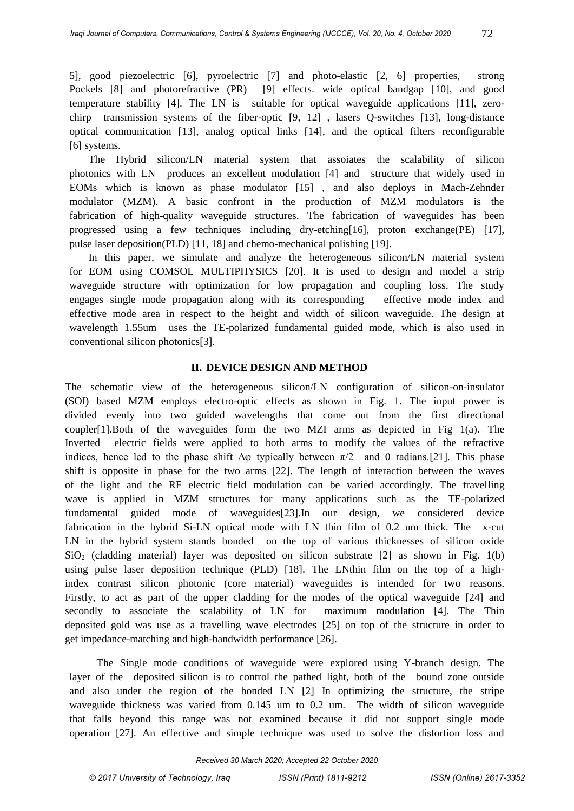The Hybrid silicon/LN material system that assoiates the scalability of silicon photonics with LN produces an excellent modulation [4] and structure that widely used in EOMs which is known as phase modulator [15] , and also deploys in Mach-Zehnder modulator (MZM). A basic confront in the production of MZM modulators is the fabrication of high-quality waveguide structures. The fabrication of waveguides has been progressed using a few techniques including dry-etching[16], proton exchange(PE) [17], pulse laser deposition(PLD) [11, 18] and chemo-mechanical polishing [19].

In this paper, we simulate and analyze the heterogeneous silicon/LN material system for EOM using COMSOL MULTIPHYSICS [20]. It is used to design and model a strip waveguide structure with optimization for low propagation and coupling loss. The study engages single mode propagation along with its corresponding effective mode index and effective mode area in respect to the height and width of silicon waveguide. The design at wavelength 1.55um uses the TE-polarized fundamental guided mode, which is also used in conventional silicon photonics[3].

## **II. DEVICE DESIGN AND METHOD**

The schematic view of the heterogeneous silicon/LN configuration of silicon-on-insulator (SOI) based MZM employs electro-optic effects as shown in Fig. 1. The input power is divided evenly into two guided wavelengths that come out from the first directional coupler[1].Both of the waveguides form the two MZI arms as depicted in Fig 1(a). The Inverted electric fields were applied to both arms to modify the values of the refractive indices, hence led to the phase shift  $\Delta \varphi$  typically between  $\pi/2$  and 0 radians. [21]. This phase shift is opposite in phase for the two arms [22]. The length of interaction between the waves of the light and the RF electric field modulation can be varied accordingly. The travelling wave is applied in MZM structures for many applications such as the TE-polarized fundamental guided mode of waveguides[23].In our design, we considered device fabrication in the hybrid Si-LN optical mode with LN thin film of 0.2 um thick. The x-cut LN in the hybrid system stands bonded on the top of various thicknesses of silicon oxide  $SiO<sub>2</sub>$  (cladding material) layer was deposited on silicon substrate [2] as shown in Fig. 1(b) using pulse laser deposition technique (PLD) [18]. The LNthin film on the top of a highindex contrast silicon photonic (core material) waveguides is intended for two reasons. Firstly, to act as part of the upper cladding for the modes of the optical waveguide [24] and secondly to associate the scalability of LN for maximum modulation [4]. The Thin deposited gold was use as a travelling wave electrodes [25] on top of the structure in order to get impedance-matching and high-bandwidth performance [26].

The Single mode conditions of waveguide were explored using Y-branch design. The layer of the deposited silicon is to control the pathed light, both of the bound zone outside and also under the region of the bonded LN [2] In optimizing the structure, the stripe waveguide thickness was varied from 0.145 um to 0.2 um. The width of silicon waveguide that falls beyond this range was not examined because it did not support single mode operation [27]. An effective and simple technique was used to solve the distortion loss and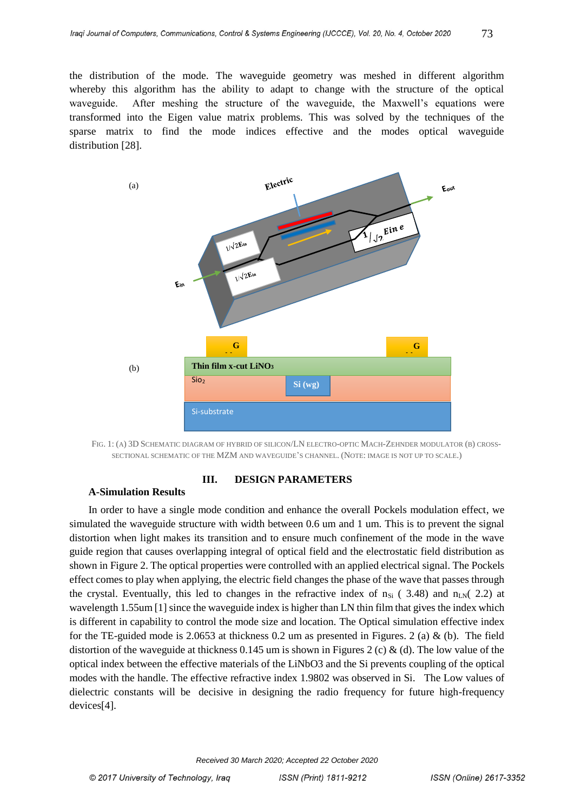the distribution of the mode. The waveguide geometry was meshed in different algorithm whereby this algorithm has the ability to adapt to change with the structure of the optical waveguide. After meshing the structure of the waveguide, the Maxwell's equations were transformed into the Eigen value matrix problems. This was solved by the techniques of the sparse matrix to find the mode indices effective and the modes optical waveguide distribution [28].



FIG. 1: (A) 3D SCHEMATIC DIAGRAM OF HYBRID OF SILICON/LN ELECTRO-OPTIC MACH-ZEHNDER MODULATOR (B) CROSS-SECTIONAL SCHEMATIC OF THE MZM AND WAVEGUIDE'S CHANNEL. (NOTE: IMAGE IS NOT UP TO SCALE.)

# **III. DESIGN PARAMETERS**

#### **A-Simulation Results**

In order to have a single mode condition and enhance the overall Pockels modulation effect, we simulated the waveguide structure with width between 0.6 um and 1 um. This is to prevent the signal distortion when light makes its transition and to ensure much confinement of the mode in the wave guide region that causes overlapping integral of optical field and the electrostatic field distribution as shown in Figure 2. The optical properties were controlled with an applied electrical signal. The Pockels effect comes to play when applying, the electric field changes the phase of the wave that passes through the crystal. Eventually, this led to changes in the refractive index of  $n_{Si}$  (3.48) and  $n_{LN}(2.2)$  at wavelength 1.55um [1] since the waveguide index is higher than LN thin film that gives the index which is different in capability to control the mode size and location. The Optical simulation effective index for the TE-guided mode is 2.0653 at thickness 0.2 um as presented in Figures. 2 (a) & (b). The field distortion of the waveguide at thickness 0.145 um is shown in Figures 2 (c) & (d). The low value of the optical index between the effective materials of the LiNbO3 and the Si prevents coupling of the optical modes with the handle. The effective refractive index 1.9802 was observed in Si. The Low values of dielectric constants will be decisive in designing the radio frequency for future high-frequency devices[4].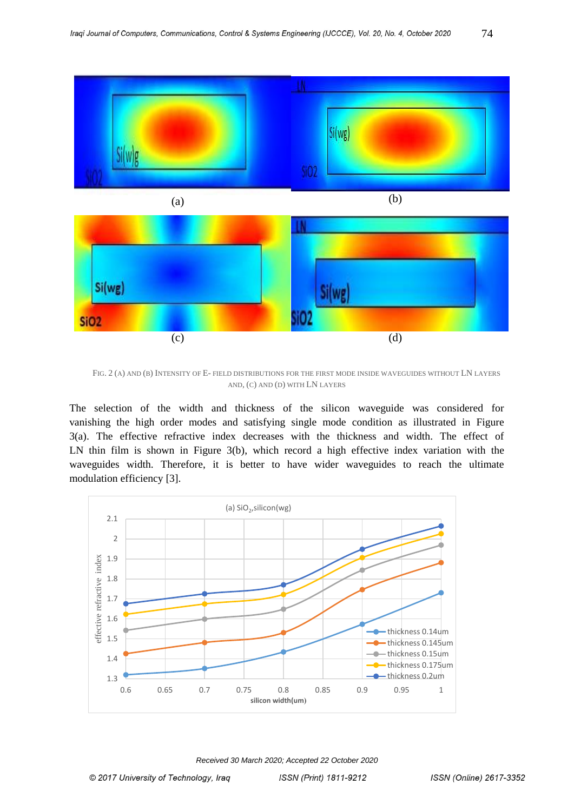

FIG. 2 (A) AND (B) INTENSITY OF E- FIELD DISTRIBUTIONS FOR THE FIRST MODE INSIDE WAVEGUIDES WITHOUT LN LAYERS AND, (C) AND (D) WITH LN LAYERS

The selection of the width and thickness of the silicon waveguide was considered for vanishing the high order modes and satisfying single mode condition as illustrated in Figure 3(a). The effective refractive index decreases with the thickness and width. The effect of LN thin film is shown in Figure 3(b), which record a high effective index variation with the waveguides width. Therefore, it is better to have wider waveguides to reach the ultimate modulation efficiency [3].



*Received 30 March 2020; Accepted 22 October 2020*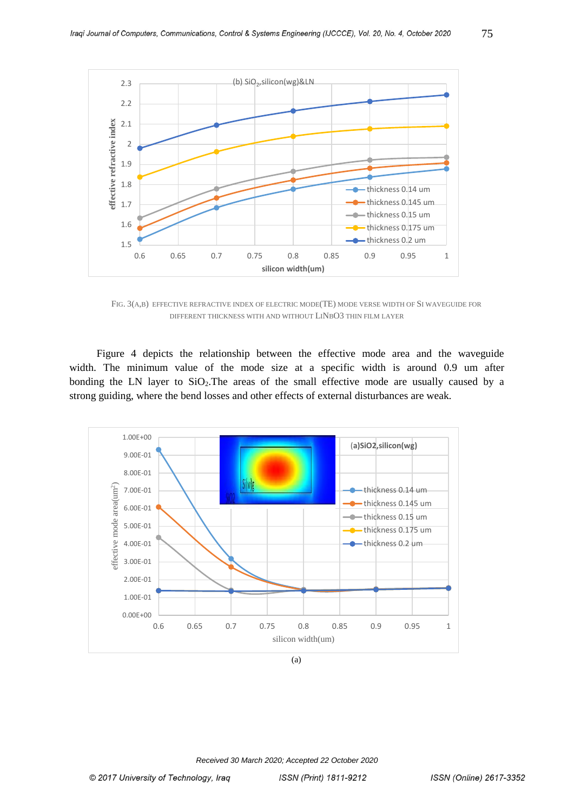

FIG. 3(A,B) EFFECTIVE REFRACTIVE INDEX OF ELECTRIC MODE(TE) MODE VERSE WIDTH OF SI WAVEGUIDE FOR DIFFERENT THICKNESS WITH AND WITHOUT LINBO3 THIN FILM LAYER

Figure 4 depicts the relationship between the effective mode area and the waveguide width. The minimum value of the mode size at a specific width is around 0.9 um after bonding the LN layer to  $SiO<sub>2</sub>$ . The areas of the small effective mode are usually caused by a strong guiding, where the bend losses and other effects of external disturbances are weak.



(a)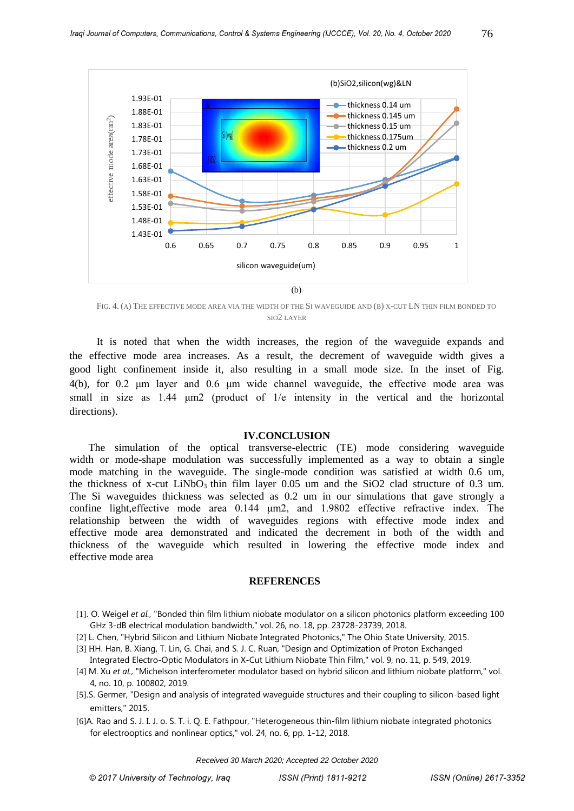

FIG. 4. (A) THE EFFECTIVE MODE AREA VIA THE WIDTH OF THE SI WAVEGUIDE AND (B) X-CUT LN THIN FILM BONDED TO SIO2 LAYER

It is noted that when the width increases, the region of the waveguide expands and the effective mode area increases. As a result, the decrement of waveguide width gives a good light confinement inside it, also resulting in a small mode size. In the inset of Fig. 4(b), for 0.2 μm layer and 0.6 μm wide channel waveguide, the effective mode area was small in size as 1.44 μm2 (product of 1/e intensity in the vertical and the horizontal directions).

#### **IV.CONCLUSION**

The simulation of the optical transverse-electric (TE) mode considering waveguide width or mode-shape modulation was successfully implemented as a way to obtain a single mode matching in the waveguide. The single-mode condition was satisfied at width 0.6 um, the thickness of x-cut LiNbO<sub>3</sub> thin film layer 0.05 um and the SiO2 clad structure of 0.3 um. The Si waveguides thickness was selected as 0.2 um in our simulations that gave strongly a confine light,effective mode area 0.144 μm2, and 1.9802 effective refractive index. The relationship between the width of waveguides regions with effective mode index and effective mode area demonstrated and indicated the decrement in both of the width and thickness of the waveguide which resulted in lowering the effective mode index and effective mode area

#### **REFERENCES**

- [1]. O. Weigel *et al.*, "Bonded thin film lithium niobate modulator on a silicon photonics platform exceeding 100 GHz 3-dB electrical modulation bandwidth," vol. 26, no. 18, pp. 23728-23739, 2018.
- [2] L. Chen, "Hybrid Silicon and Lithium Niobate Integrated Photonics," The Ohio State University, 2015.
- [3] HH. Han, B. Xiang, T. Lin, G. Chai, and S. J. C. Ruan, "Design and Optimization of Proton Exchanged Integrated Electro-Optic Modulators in X-Cut Lithium Niobate Thin Film," vol. 9, no. 11, p. 549, 2019.
- [4] M. Xu *et al.*, "Michelson interferometer modulator based on hybrid silicon and lithium niobate platform," vol. 4, no. 10, p. 100802, 2019.
- [5].S. Germer, "Design and analysis of integrated waveguide structures and their coupling to silicon-based light emitters," 2015.
- [6]A. Rao and S. J. I. J. o. S. T. i. Q. E. Fathpour, "Heterogeneous thin-film lithium niobate integrated photonics for electrooptics and nonlinear optics," vol. 24, no. 6, pp. 1-12, 2018.

*Received 30 March 2020; Accepted 22 October 2020*